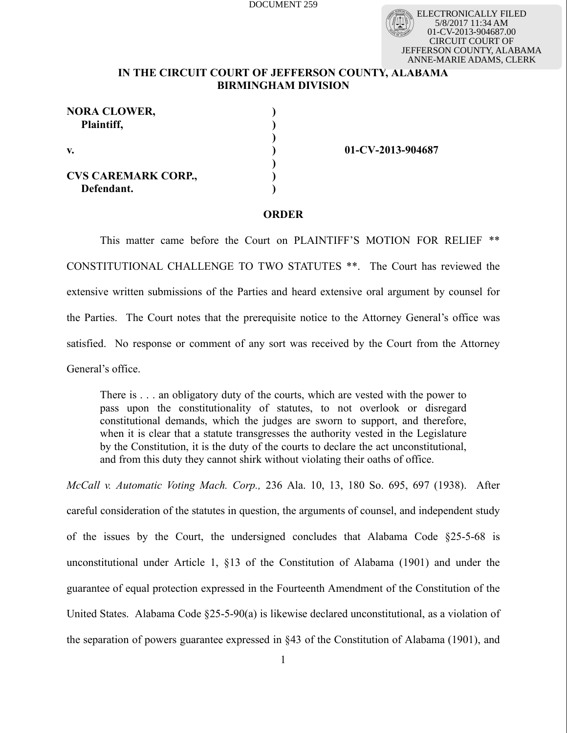ELECTRONICALLY FILED 5/8/2017 11:34 AM 01-CV-2013-904687.00 CIRCUIT COURT OF JEFFERSON COUNTY, ALABAMA ANNE-MARIE ADAMS, CLERK

# **IN THE CIRCUIT COURT OF JEFFERSON COUNTY, ALABAMA BIRMINGHAM DIVISION**

**) ) ) ) ) ) )**

| <b>NORA CLOWER,</b><br>Plaintiff,        |  |
|------------------------------------------|--|
| V.                                       |  |
| <b>CVS CAREMARK CORP.,</b><br>Defendant. |  |

**01-CV-2013-904687**

## **ORDER**

This matter came before the Court on PLAINTIFF'S MOTION FOR RELIEF \*\* CONSTITUTIONAL CHALLENGE TO TWO STATUTES \*\*. The Court has reviewed the extensive written submissions of the Parties and heard extensive oral argument by counsel for the Parties. The Court notes that the prerequisite notice to the Attorney General's office was satisfied. No response or comment of any sort was received by the Court from the Attorney General's office.

There is . . . an obligatory duty of the courts, which are vested with the power to pass upon the constitutionality of statutes, to not overlook or disregard constitutional demands, which the judges are sworn to support, and therefore, when it is clear that a statute transgresses the authority vested in the Legislature by the Constitution, it is the duty of the courts to declare the act unconstitutional, and from this duty they cannot shirk without violating their oaths of office.

*McCall v. Automatic Voting Mach. Corp.,* 236 Ala. 10, 13, 180 So. 695, 697 (1938). After careful consideration of the statutes in question, the arguments of counsel, and independent study of the issues by the Court, the undersigned concludes that Alabama Code §25-5-68 is unconstitutional under Article 1, §13 of the Constitution of Alabama (1901) and under the guarantee of equal protection expressed in the Fourteenth Amendment of the Constitution of the United States. Alabama Code §25-5-90(a) is likewise declared unconstitutional, as a violation of the separation of powers guarantee expressed in §43 of the Constitution of Alabama (1901), and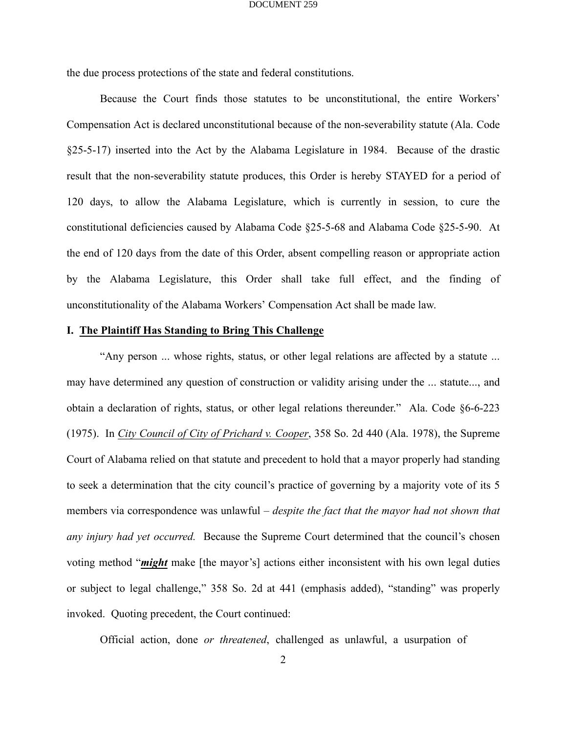the due process protections of the state and federal constitutions.

Because the Court finds those statutes to be unconstitutional, the entire Workers' Compensation Act is declared unconstitutional because of the non-severability statute (Ala. Code §25-5-17) inserted into the Act by the Alabama Legislature in 1984. Because of the drastic result that the non-severability statute produces, this Order is hereby STAYED for a period of 120 days, to allow the Alabama Legislature, which is currently in session, to cure the constitutional deficiencies caused by Alabama Code §25-5-68 and Alabama Code §25-5-90. At the end of 120 days from the date of this Order, absent compelling reason or appropriate action by the Alabama Legislature, this Order shall take full effect, and the finding of unconstitutionality of the Alabama Workers' Compensation Act shall be made law.

## **I. The Plaintiff Has Standing to Bring This Challenge**

"Any person ... whose rights, status, or other legal relations are affected by a statute ... may have determined any question of construction or validity arising under the ... statute..., and obtain a declaration of rights, status, or other legal relations thereunder." Ala. Code §6-6-223 (1975). In *City Council of City of Prichard v. Cooper*, 358 So. 2d 440 (Ala. 1978), the Supreme Court of Alabama relied on that statute and precedent to hold that a mayor properly had standing to seek a determination that the city council's practice of governing by a majority vote of its 5 members via correspondence was unlawful – *despite the fact that the mayor had not shown that any injury had yet occurred.* Because the Supreme Court determined that the council's chosen voting method "*might* make [the mayor's] actions either inconsistent with his own legal duties or subject to legal challenge," 358 So. 2d at 441 (emphasis added), "standing" was properly invoked. Quoting precedent, the Court continued:

Official action, done *or threatened*, challenged as unlawful, a usurpation of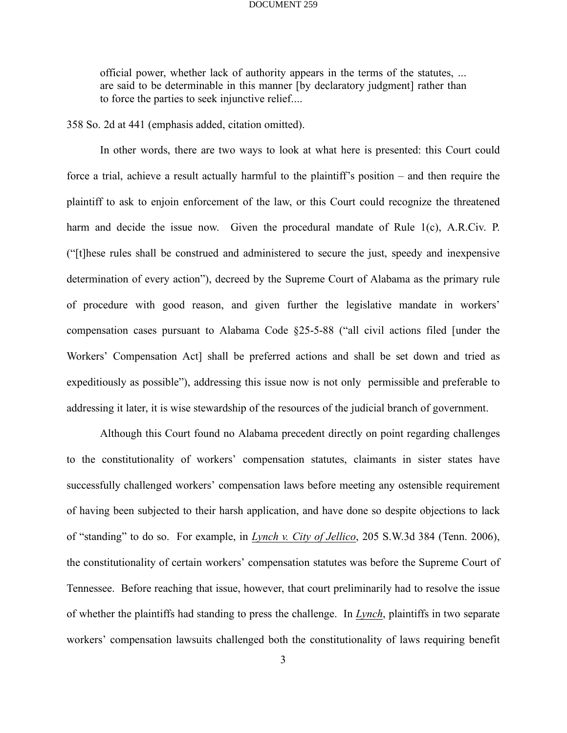official power, whether lack of authority appears in the terms of the statutes, ... are said to be determinable in this manner [by declaratory judgment] rather than to force the parties to seek injunctive relief....

358 So. 2d at 441 (emphasis added, citation omitted).

In other words, there are two ways to look at what here is presented: this Court could force a trial, achieve a result actually harmful to the plaintiff's position – and then require the plaintiff to ask to enjoin enforcement of the law, or this Court could recognize the threatened harm and decide the issue now. Given the procedural mandate of Rule 1(c), A.R.Civ. P. ("[t]hese rules shall be construed and administered to secure the just, speedy and inexpensive determination of every action"), decreed by the Supreme Court of Alabama as the primary rule of procedure with good reason, and given further the legislative mandate in workers' compensation cases pursuant to Alabama Code §25-5-88 ("all civil actions filed [under the Workers' Compensation Act] shall be preferred actions and shall be set down and tried as expeditiously as possible"), addressing this issue now is not only permissible and preferable to addressing it later, it is wise stewardship of the resources of the judicial branch of government.

Although this Court found no Alabama precedent directly on point regarding challenges to the constitutionality of workers' compensation statutes, claimants in sister states have successfully challenged workers' compensation laws before meeting any ostensible requirement of having been subjected to their harsh application, and have done so despite objections to lack of "standing" to do so. For example, in *Lynch v. City of Jellico*, 205 S.W.3d 384 (Tenn. 2006), the constitutionality of certain workers' compensation statutes was before the Supreme Court of Tennessee. Before reaching that issue, however, that court preliminarily had to resolve the issue of whether the plaintiffs had standing to press the challenge. In *Lynch*, plaintiffs in two separate workers' compensation lawsuits challenged both the constitutionality of laws requiring benefit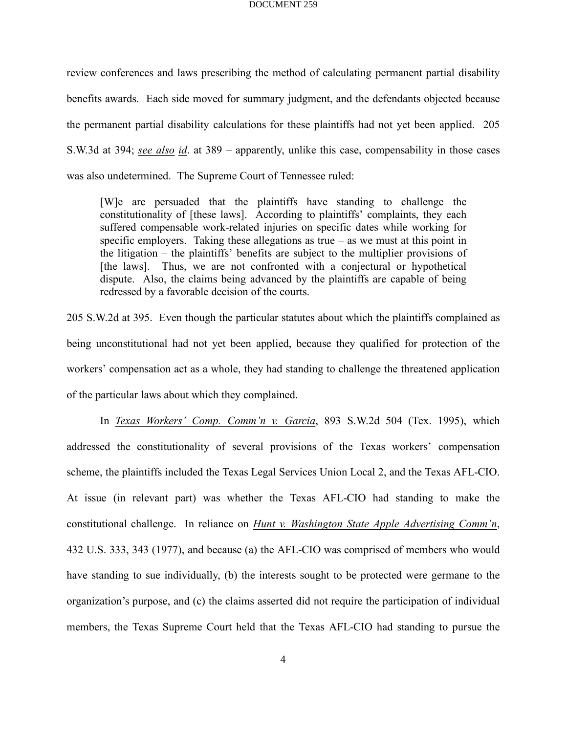review conferences and laws prescribing the method of calculating permanent partial disability benefits awards. Each side moved for summary judgment, and the defendants objected because the permanent partial disability calculations for these plaintiffs had not yet been applied. 205 S.W.3d at 394; *see also id*. at 389 – apparently, unlike this case, compensability in those cases was also undetermined. The Supreme Court of Tennessee ruled:

[W]e are persuaded that the plaintiffs have standing to challenge the constitutionality of [these laws]. According to plaintiffs' complaints, they each suffered compensable work-related injuries on specific dates while working for specific employers. Taking these allegations as true  $-$  as we must at this point in the litigation – the plaintiffs' benefits are subject to the multiplier provisions of [the laws]. Thus, we are not confronted with a conjectural or hypothetical dispute. Also, the claims being advanced by the plaintiffs are capable of being redressed by a favorable decision of the courts.

205 S.W.2d at 395. Even though the particular statutes about which the plaintiffs complained as being unconstitutional had not yet been applied, because they qualified for protection of the workers' compensation act as a whole, they had standing to challenge the threatened application of the particular laws about which they complained.

In *Texas Workers' Comp. Comm'n v. Garcia*, 893 S.W.2d 504 (Tex. 1995), which addressed the constitutionality of several provisions of the Texas workers' compensation scheme, the plaintiffs included the Texas Legal Services Union Local 2, and the Texas AFL-CIO. At issue (in relevant part) was whether the Texas AFL-CIO had standing to make the constitutional challenge. In reliance on *Hunt v. Washington State Apple Advertising Comm'n*, 432 U.S. 333, 343 (1977), and because (a) the AFL-CIO was comprised of members who would have standing to sue individually, (b) the interests sought to be protected were germane to the organization's purpose, and (c) the claims asserted did not require the participation of individual members, the Texas Supreme Court held that the Texas AFL-CIO had standing to pursue the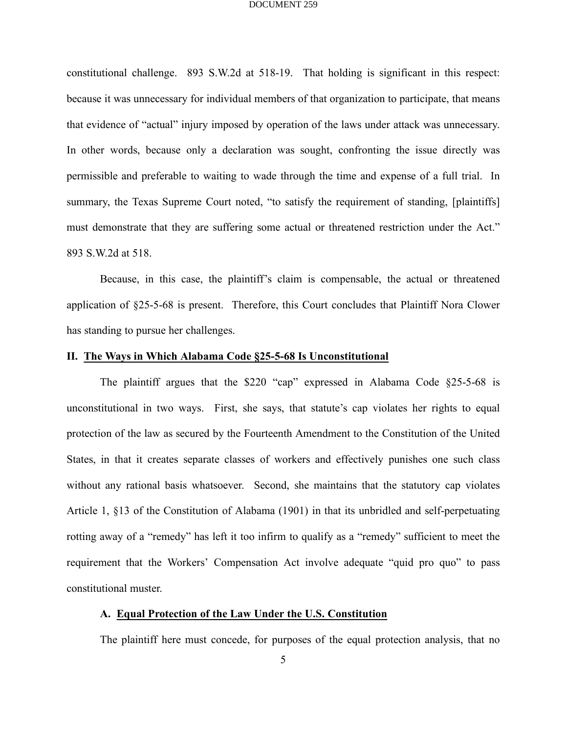constitutional challenge. 893 S.W.2d at 518-19. That holding is significant in this respect: because it was unnecessary for individual members of that organization to participate, that means that evidence of "actual" injury imposed by operation of the laws under attack was unnecessary. In other words, because only a declaration was sought, confronting the issue directly was permissible and preferable to waiting to wade through the time and expense of a full trial. In summary, the Texas Supreme Court noted, "to satisfy the requirement of standing, [plaintiffs] must demonstrate that they are suffering some actual or threatened restriction under the Act." 893 S.W.2d at 518.

Because, in this case, the plaintiff's claim is compensable, the actual or threatened application of §25-5-68 is present. Therefore, this Court concludes that Plaintiff Nora Clower has standing to pursue her challenges.

## **II. The Ways in Which Alabama Code §25-5-68 Is Unconstitutional**

The plaintiff argues that the \$220 "cap" expressed in Alabama Code §25-5-68 is unconstitutional in two ways. First, she says, that statute's cap violates her rights to equal protection of the law as secured by the Fourteenth Amendment to the Constitution of the United States, in that it creates separate classes of workers and effectively punishes one such class without any rational basis whatsoever. Second, she maintains that the statutory cap violates Article 1, §13 of the Constitution of Alabama (1901) in that its unbridled and self-perpetuating rotting away of a "remedy" has left it too infirm to qualify as a "remedy" sufficient to meet the requirement that the Workers' Compensation Act involve adequate "quid pro quo" to pass constitutional muster.

### **A. Equal Protection of the Law Under the U.S. Constitution**

The plaintiff here must concede, for purposes of the equal protection analysis, that no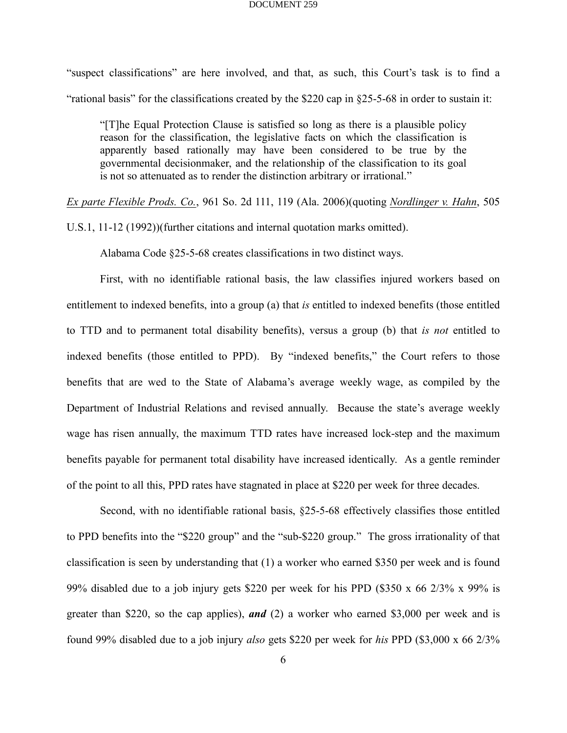"suspect classifications" are here involved, and that, as such, this Court's task is to find a "rational basis" for the classifications created by the \$220 cap in §25-5-68 in order to sustain it:

"[T]he Equal Protection Clause is satisfied so long as there is a plausible policy reason for the classification, the legislative facts on which the classification is apparently based rationally may have been considered to be true by the governmental decisionmaker, and the relationship of the classification to its goal is not so attenuated as to render the distinction arbitrary or irrational."

*Ex parte Flexible Prods. Co.*, 961 So. 2d 111, 119 (Ala. 2006)(quoting *Nordlinger v. Hahn*, 505

U.S.1, 11-12 (1992))(further citations and internal quotation marks omitted).

Alabama Code §25-5-68 creates classifications in two distinct ways.

First, with no identifiable rational basis, the law classifies injured workers based on entitlement to indexed benefits, into a group (a) that *is* entitled to indexed benefits (those entitled to TTD and to permanent total disability benefits), versus a group (b) that *is not* entitled to indexed benefits (those entitled to PPD). By "indexed benefits," the Court refers to those benefits that are wed to the State of Alabama's average weekly wage, as compiled by the Department of Industrial Relations and revised annually. Because the state's average weekly wage has risen annually, the maximum TTD rates have increased lock-step and the maximum benefits payable for permanent total disability have increased identically. As a gentle reminder of the point to all this, PPD rates have stagnated in place at \$220 per week for three decades.

Second, with no identifiable rational basis, §25-5-68 effectively classifies those entitled to PPD benefits into the "\$220 group" and the "sub-\$220 group." The gross irrationality of that classification is seen by understanding that (1) a worker who earned \$350 per week and is found 99% disabled due to a job injury gets \$220 per week for his PPD (\$350 x 66 2/3% x 99% is greater than \$220, so the cap applies), *and* (2) a worker who earned \$3,000 per week and is found 99% disabled due to a job injury *also* gets \$220 per week for *his* PPD (\$3,000 x 66 2/3%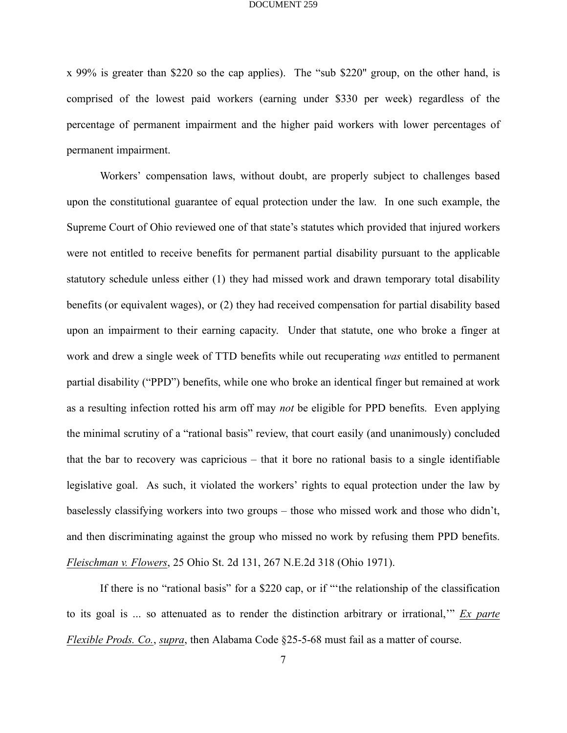x 99% is greater than \$220 so the cap applies). The "sub \$220" group, on the other hand, is comprised of the lowest paid workers (earning under \$330 per week) regardless of the percentage of permanent impairment and the higher paid workers with lower percentages of permanent impairment.

Workers' compensation laws, without doubt, are properly subject to challenges based upon the constitutional guarantee of equal protection under the law. In one such example, the Supreme Court of Ohio reviewed one of that state's statutes which provided that injured workers were not entitled to receive benefits for permanent partial disability pursuant to the applicable statutory schedule unless either (1) they had missed work and drawn temporary total disability benefits (or equivalent wages), or (2) they had received compensation for partial disability based upon an impairment to their earning capacity. Under that statute, one who broke a finger at work and drew a single week of TTD benefits while out recuperating *was* entitled to permanent partial disability ("PPD") benefits, while one who broke an identical finger but remained at work as a resulting infection rotted his arm off may *not* be eligible for PPD benefits. Even applying the minimal scrutiny of a "rational basis" review, that court easily (and unanimously) concluded that the bar to recovery was capricious – that it bore no rational basis to a single identifiable legislative goal. As such, it violated the workers' rights to equal protection under the law by baselessly classifying workers into two groups – those who missed work and those who didn't, and then discriminating against the group who missed no work by refusing them PPD benefits. *Fleischman v. Flowers*, 25 Ohio St. 2d 131, 267 N.E.2d 318 (Ohio 1971).

If there is no "rational basis" for a \$220 cap, or if "'the relationship of the classification to its goal is ... so attenuated as to render the distinction arbitrary or irrational,'" *Ex parte Flexible Prods. Co.*, *supra*, then Alabama Code §25-5-68 must fail as a matter of course.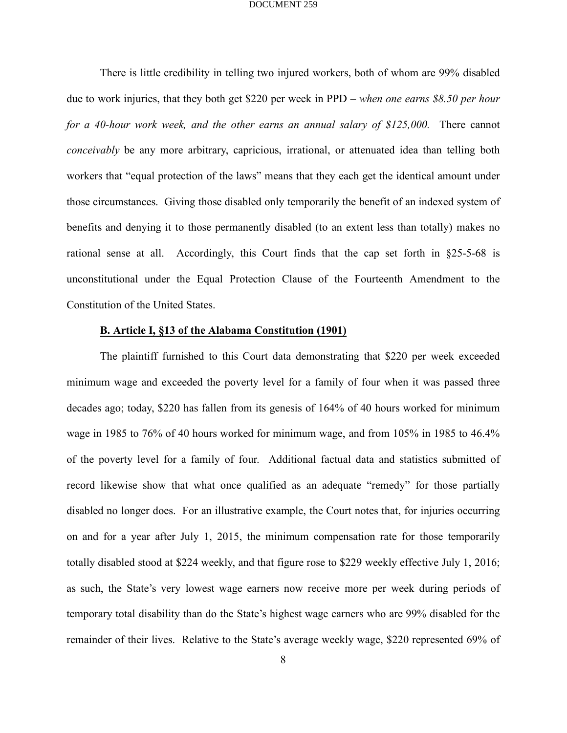There is little credibility in telling two injured workers, both of whom are 99% disabled due to work injuries, that they both get \$220 per week in PPD – *when one earns \$8.50 per hour for a 40-hour work week, and the other earns an annual salary of \$125,000.* There cannot *conceivably* be any more arbitrary, capricious, irrational, or attenuated idea than telling both workers that "equal protection of the laws" means that they each get the identical amount under those circumstances. Giving those disabled only temporarily the benefit of an indexed system of benefits and denying it to those permanently disabled (to an extent less than totally) makes no rational sense at all. Accordingly, this Court finds that the cap set forth in §25-5-68 is unconstitutional under the Equal Protection Clause of the Fourteenth Amendment to the Constitution of the United States.

## **B. Article I, §13 of the Alabama Constitution (1901)**

The plaintiff furnished to this Court data demonstrating that \$220 per week exceeded minimum wage and exceeded the poverty level for a family of four when it was passed three decades ago; today, \$220 has fallen from its genesis of 164% of 40 hours worked for minimum wage in 1985 to 76% of 40 hours worked for minimum wage, and from 105% in 1985 to 46.4% of the poverty level for a family of four. Additional factual data and statistics submitted of record likewise show that what once qualified as an adequate "remedy" for those partially disabled no longer does. For an illustrative example, the Court notes that, for injuries occurring on and for a year after July 1, 2015, the minimum compensation rate for those temporarily totally disabled stood at \$224 weekly, and that figure rose to \$229 weekly effective July 1, 2016; as such, the State's very lowest wage earners now receive more per week during periods of temporary total disability than do the State's highest wage earners who are 99% disabled for the remainder of their lives. Relative to the State's average weekly wage, \$220 represented 69% of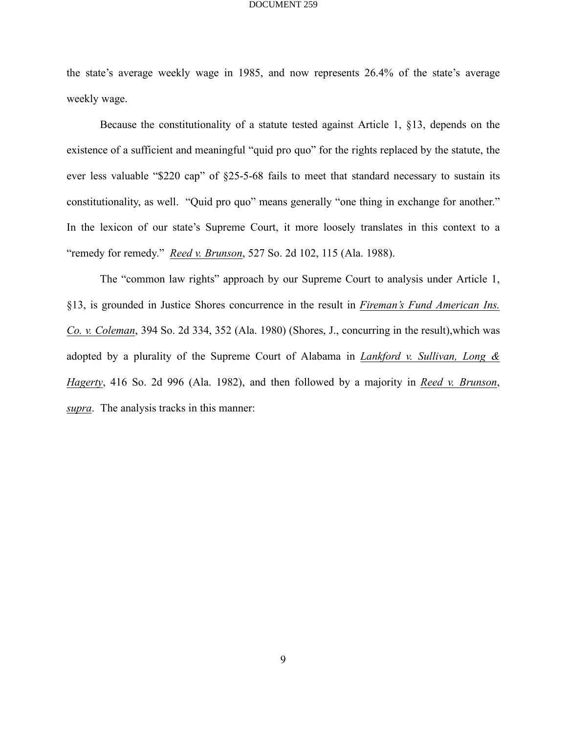the state's average weekly wage in 1985, and now represents 26.4% of the state's average weekly wage.

Because the constitutionality of a statute tested against Article 1, §13, depends on the existence of a sufficient and meaningful "quid pro quo" for the rights replaced by the statute, the ever less valuable "\$220 cap" of §25-5-68 fails to meet that standard necessary to sustain its constitutionality, as well. "Quid pro quo" means generally "one thing in exchange for another." In the lexicon of our state's Supreme Court, it more loosely translates in this context to a "remedy for remedy." *Reed v. Brunson*, 527 So. 2d 102, 115 (Ala. 1988).

The "common law rights" approach by our Supreme Court to analysis under Article 1, §13, is grounded in Justice Shores concurrence in the result in *Fireman's Fund American Ins. Co. v. Coleman*, 394 So. 2d 334, 352 (Ala. 1980) (Shores, J., concurring in the result),which was adopted by a plurality of the Supreme Court of Alabama in *Lankford v. Sullivan, Long & Hagerty*, 416 So. 2d 996 (Ala. 1982), and then followed by a majority in *Reed v. Brunson*, *supra*. The analysis tracks in this manner: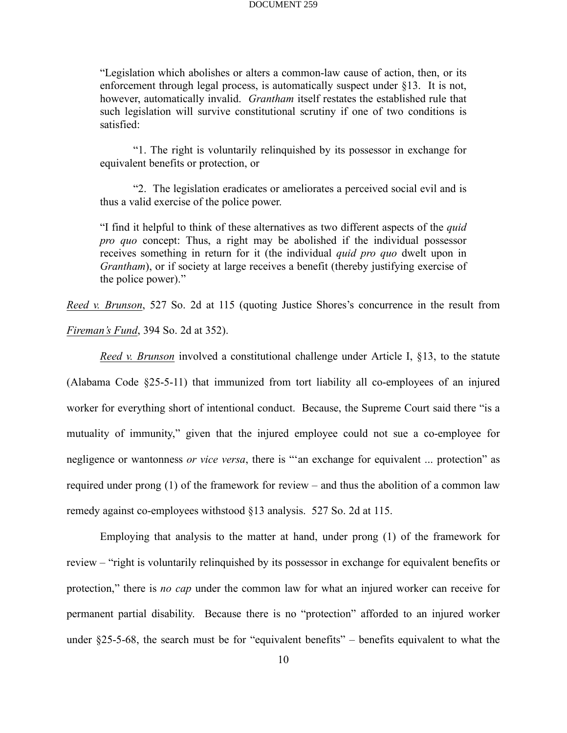"Legislation which abolishes or alters a common-law cause of action, then, or its enforcement through legal process, is automatically suspect under §13. It is not, however, automatically invalid. *Grantham* itself restates the established rule that such legislation will survive constitutional scrutiny if one of two conditions is satisfied:

"1. The right is voluntarily relinquished by its possessor in exchange for equivalent benefits or protection, or

"2. The legislation eradicates or ameliorates a perceived social evil and is thus a valid exercise of the police power.

"I find it helpful to think of these alternatives as two different aspects of the *quid pro quo* concept: Thus, a right may be abolished if the individual possessor receives something in return for it (the individual *quid pro quo* dwelt upon in *Grantham*), or if society at large receives a benefit (thereby justifying exercise of the police power)."

*Reed v. Brunson*, 527 So. 2d at 115 (quoting Justice Shores's concurrence in the result from *Fireman's Fund*, 394 So. 2d at 352).

*Reed v. Brunson* involved a constitutional challenge under Article I, §13, to the statute (Alabama Code §25-5-11) that immunized from tort liability all co-employees of an injured worker for everything short of intentional conduct. Because, the Supreme Court said there "is a mutuality of immunity," given that the injured employee could not sue a co-employee for negligence or wantonness *or vice versa*, there is "'an exchange for equivalent ... protection" as required under prong (1) of the framework for review – and thus the abolition of a common law remedy against co-employees withstood §13 analysis. 527 So. 2d at 115.

Employing that analysis to the matter at hand, under prong (1) of the framework for review – "right is voluntarily relinquished by its possessor in exchange for equivalent benefits or protection," there is *no cap* under the common law for what an injured worker can receive for permanent partial disability. Because there is no "protection" afforded to an injured worker under §25-5-68, the search must be for "equivalent benefits" – benefits equivalent to what the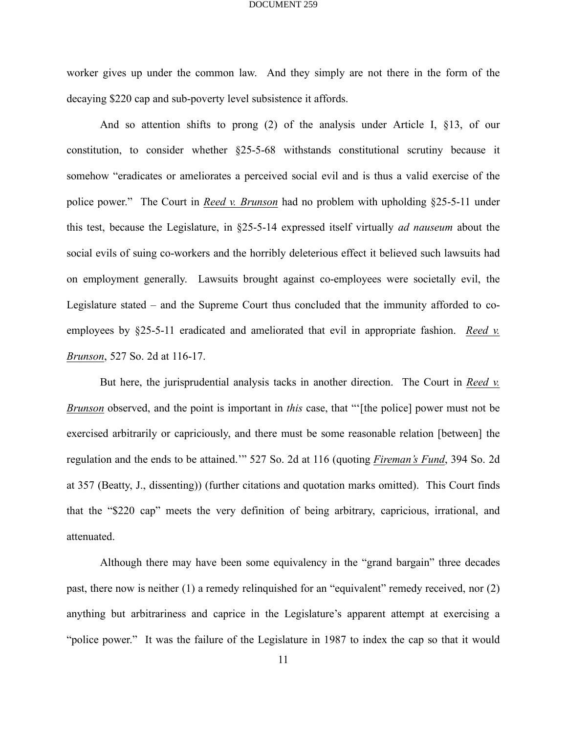worker gives up under the common law. And they simply are not there in the form of the decaying \$220 cap and sub-poverty level subsistence it affords.

And so attention shifts to prong (2) of the analysis under Article I, §13, of our constitution, to consider whether §25-5-68 withstands constitutional scrutiny because it somehow "eradicates or ameliorates a perceived social evil and is thus a valid exercise of the police power." The Court in *Reed v. Brunson* had no problem with upholding §25-5-11 under this test, because the Legislature, in §25-5-14 expressed itself virtually *ad nauseum* about the social evils of suing co-workers and the horribly deleterious effect it believed such lawsuits had on employment generally. Lawsuits brought against co-employees were societally evil, the Legislature stated – and the Supreme Court thus concluded that the immunity afforded to coemployees by §25-5-11 eradicated and ameliorated that evil in appropriate fashion. *Reed v. Brunson*, 527 So. 2d at 116-17.

But here, the jurisprudential analysis tacks in another direction. The Court in *Reed v. Brunson* observed, and the point is important in *this* case, that "'[the police] power must not be exercised arbitrarily or capriciously, and there must be some reasonable relation [between] the regulation and the ends to be attained.'" 527 So. 2d at 116 (quoting *Fireman's Fund*, 394 So. 2d at 357 (Beatty, J., dissenting)) (further citations and quotation marks omitted). This Court finds that the "\$220 cap" meets the very definition of being arbitrary, capricious, irrational, and attenuated.

Although there may have been some equivalency in the "grand bargain" three decades past, there now is neither (1) a remedy relinquished for an "equivalent" remedy received, nor (2) anything but arbitrariness and caprice in the Legislature's apparent attempt at exercising a "police power." It was the failure of the Legislature in 1987 to index the cap so that it would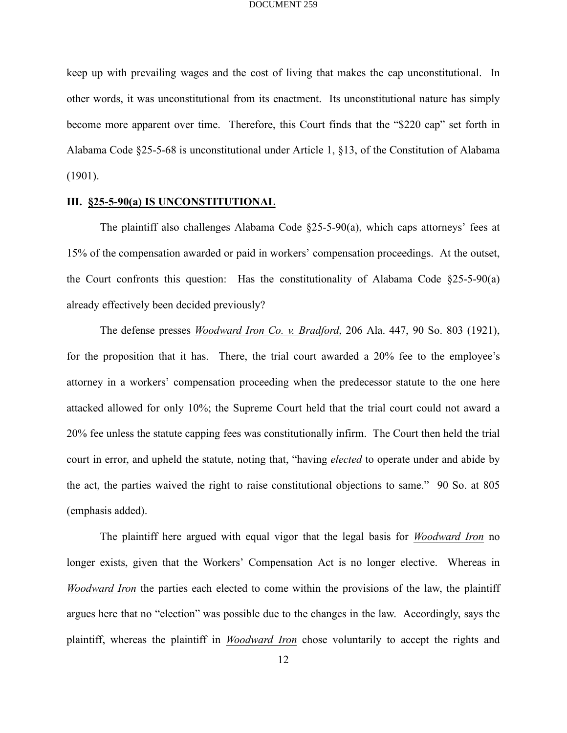keep up with prevailing wages and the cost of living that makes the cap unconstitutional. In other words, it was unconstitutional from its enactment. Its unconstitutional nature has simply become more apparent over time. Therefore, this Court finds that the "\$220 cap" set forth in Alabama Code §25-5-68 is unconstitutional under Article 1, §13, of the Constitution of Alabama (1901).

## **III. §25-5-90(a) IS UNCONSTITUTIONAL**

The plaintiff also challenges Alabama Code §25-5-90(a), which caps attorneys' fees at 15% of the compensation awarded or paid in workers' compensation proceedings. At the outset, the Court confronts this question: Has the constitutionality of Alabama Code  $\S25-5-90(a)$ already effectively been decided previously?

The defense presses *Woodward Iron Co. v. Bradford*, 206 Ala. 447, 90 So. 803 (1921), for the proposition that it has. There, the trial court awarded a 20% fee to the employee's attorney in a workers' compensation proceeding when the predecessor statute to the one here attacked allowed for only 10%; the Supreme Court held that the trial court could not award a 20% fee unless the statute capping fees was constitutionally infirm. The Court then held the trial court in error, and upheld the statute, noting that, "having *elected* to operate under and abide by the act, the parties waived the right to raise constitutional objections to same." 90 So. at 805 (emphasis added).

The plaintiff here argued with equal vigor that the legal basis for *Woodward Iron* no longer exists, given that the Workers' Compensation Act is no longer elective. Whereas in *Woodward Iron* the parties each elected to come within the provisions of the law, the plaintiff argues here that no "election" was possible due to the changes in the law. Accordingly, says the plaintiff, whereas the plaintiff in *Woodward Iron* chose voluntarily to accept the rights and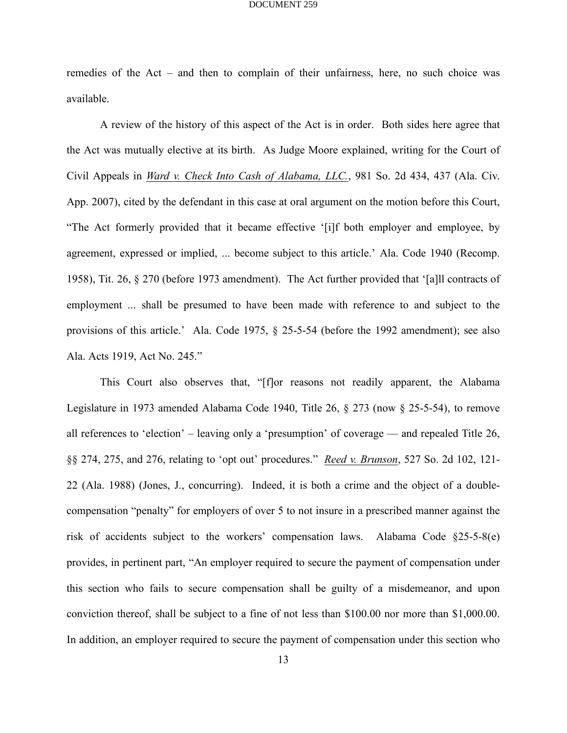remedies of the Act – and then to complain of their unfairness, here, no such choice was available.

A review of the history of this aspect of the Act is in order. Both sides here agree that the Act was mutually elective at its birth. As Judge Moore explained, writing for the Court of Civil Appeals in *Ward v. Check Into Cash of Alabama, LLC.*, 981 So. 2d 434, 437 (Ala. Civ. App. 2007), cited by the defendant in this case at oral argument on the motion before this Court, "The Act formerly provided that it became effective '[i]f both employer and employee, by agreement, expressed or implied, ... become subject to this article.' Ala. Code 1940 (Recomp. 1958), Tit. 26, § 270 (before 1973 amendment). The Act further provided that '[a]ll contracts of employment ... shall be presumed to have been made with reference to and subject to the provisions of this article.' Ala. Code 1975, § 25-5-54 (before the 1992 amendment); see also Ala. Acts 1919, Act No. 245."

This Court also observes that, "[f]or reasons not readily apparent, the Alabama Legislature in 1973 amended Alabama Code 1940, Title 26, § 273 (now § 25-5-54), to remove all references to 'election' – leaving only a 'presumption' of coverage — and repealed Title 26, §§ 274, 275, and 276, relating to 'opt out' procedures." *Reed v. Brunson*, 527 So. 2d 102, 121- 22 (Ala. 1988) (Jones, J., concurring). Indeed, it is both a crime and the object of a doublecompensation "penalty" for employers of over 5 to not insure in a prescribed manner against the risk of accidents subject to the workers' compensation laws. Alabama Code §25-5-8(e) provides, in pertinent part, "An employer required to secure the payment of compensation under this section who fails to secure compensation shall be guilty of a misdemeanor, and upon conviction thereof, shall be subject to a fine of not less than \$100.00 nor more than \$1,000.00. In addition, an employer required to secure the payment of compensation under this section who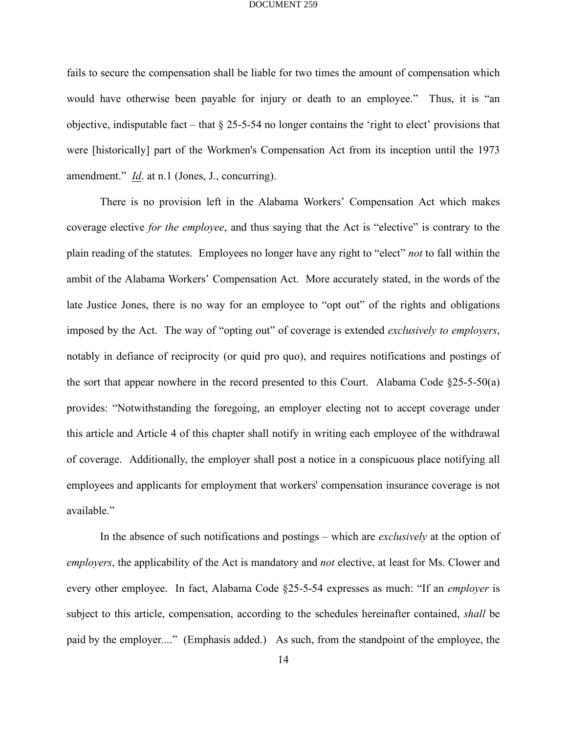fails to secure the compensation shall be liable for two times the amount of compensation which would have otherwise been payable for injury or death to an employee." Thus, it is "an objective, indisputable fact – that  $\S$  25-5-54 no longer contains the 'right to elect' provisions that were [historically] part of the Workmen's Compensation Act from its inception until the 1973 amendment." *Id*. at n.1 (Jones, J., concurring).

There is no provision left in the Alabama Workers' Compensation Act which makes coverage elective *for the employee*, and thus saying that the Act is "elective" is contrary to the plain reading of the statutes. Employees no longer have any right to "elect" *not* to fall within the ambit of the Alabama Workers' Compensation Act. More accurately stated, in the words of the late Justice Jones, there is no way for an employee to "opt out" of the rights and obligations imposed by the Act. The way of "opting out" of coverage is extended *exclusively to employers*, notably in defiance of reciprocity (or quid pro quo), and requires notifications and postings of the sort that appear nowhere in the record presented to this Court. Alabama Code §25-5-50(a) provides: "Notwithstanding the foregoing, an employer electing not to accept coverage under this article and Article 4 of this chapter shall notify in writing each employee of the withdrawal of coverage. Additionally, the employer shall post a notice in a conspicuous place notifying all employees and applicants for employment that workers' compensation insurance coverage is not available."

In the absence of such notifications and postings – which are *exclusively* at the option of *employers*, the applicability of the Act is mandatory and *not* elective, at least for Ms. Clower and every other employee. In fact, Alabama Code §25-5-54 expresses as much: "If an *employer* is subject to this article, compensation, according to the schedules hereinafter contained, *shall* be paid by the employer...." (Emphasis added.) As such, from the standpoint of the employee, the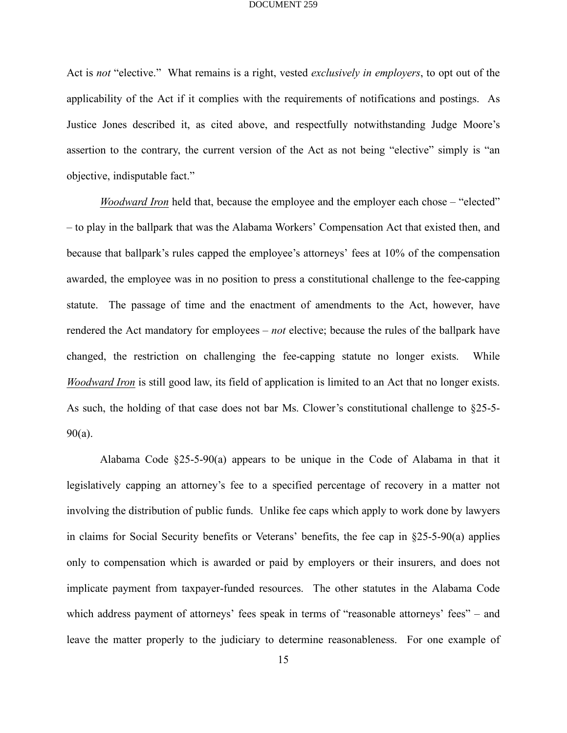Act is *not* "elective." What remains is a right, vested *exclusively in employers*, to opt out of the applicability of the Act if it complies with the requirements of notifications and postings. As Justice Jones described it, as cited above, and respectfully notwithstanding Judge Moore's assertion to the contrary, the current version of the Act as not being "elective" simply is "an objective, indisputable fact."

*Woodward Iron* held that, because the employee and the employer each chose – "elected" – to play in the ballpark that was the Alabama Workers' Compensation Act that existed then, and because that ballpark's rules capped the employee's attorneys' fees at 10% of the compensation awarded, the employee was in no position to press a constitutional challenge to the fee-capping statute. The passage of time and the enactment of amendments to the Act, however, have rendered the Act mandatory for employees – *not* elective; because the rules of the ballpark have changed, the restriction on challenging the fee-capping statute no longer exists. While *Woodward Iron* is still good law, its field of application is limited to an Act that no longer exists. As such, the holding of that case does not bar Ms. Clower's constitutional challenge to §25-5-  $90(a)$ .

Alabama Code §25-5-90(a) appears to be unique in the Code of Alabama in that it legislatively capping an attorney's fee to a specified percentage of recovery in a matter not involving the distribution of public funds. Unlike fee caps which apply to work done by lawyers in claims for Social Security benefits or Veterans' benefits, the fee cap in §25-5-90(a) applies only to compensation which is awarded or paid by employers or their insurers, and does not implicate payment from taxpayer-funded resources. The other statutes in the Alabama Code which address payment of attorneys' fees speak in terms of "reasonable attorneys' fees" – and leave the matter properly to the judiciary to determine reasonableness. For one example of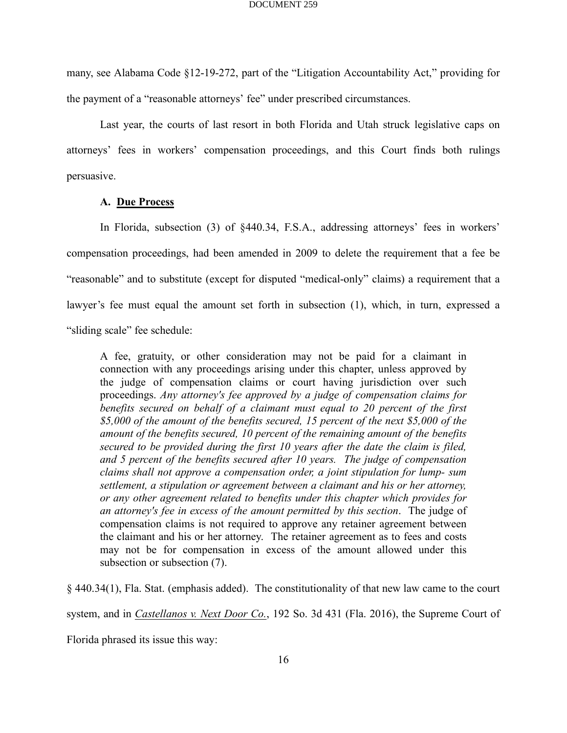many, see Alabama Code §12-19-272, part of the "Litigation Accountability Act," providing for the payment of a "reasonable attorneys' fee" under prescribed circumstances.

Last year, the courts of last resort in both Florida and Utah struck legislative caps on attorneys' fees in workers' compensation proceedings, and this Court finds both rulings persuasive.

## **A. Due Process**

In Florida, subsection (3) of §440.34, F.S.A., addressing attorneys' fees in workers' compensation proceedings, had been amended in 2009 to delete the requirement that a fee be "reasonable" and to substitute (except for disputed "medical-only" claims) a requirement that a lawyer's fee must equal the amount set forth in subsection (1), which, in turn, expressed a "sliding scale" fee schedule:

A fee, gratuity, or other consideration may not be paid for a claimant in connection with any proceedings arising under this chapter, unless approved by the judge of compensation claims or court having jurisdiction over such proceedings. *Any attorney's fee approved by a judge of compensation claims for benefits secured on behalf of a claimant must equal to 20 percent of the first \$5,000 of the amount of the benefits secured, 15 percent of the next \$5,000 of the amount of the benefits secured, 10 percent of the remaining amount of the benefits secured to be provided during the first 10 years after the date the claim is filed, and 5 percent of the benefits secured after 10 years. The judge of compensation claims shall not approve a compensation order, a joint stipulation for lump- sum settlement, a stipulation or agreement between a claimant and his or her attorney, or any other agreement related to benefits under this chapter which provides for an attorney's fee in excess of the amount permitted by this section*. The judge of compensation claims is not required to approve any retainer agreement between the claimant and his or her attorney. The retainer agreement as to fees and costs may not be for compensation in excess of the amount allowed under this subsection or subsection (7).

§ 440.34(1), Fla. Stat. (emphasis added). The constitutionality of that new law came to the court system, and in *Castellanos v. Next Door Co.*, 192 So. 3d 431 (Fla. 2016), the Supreme Court of

Florida phrased its issue this way: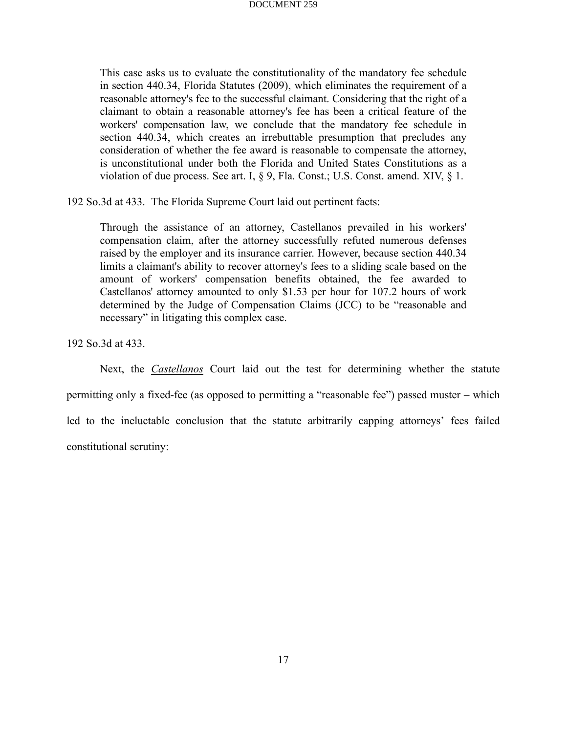This case asks us to evaluate the constitutionality of the mandatory fee schedule in section 440.34, Florida Statutes (2009), which eliminates the requirement of a reasonable attorney's fee to the successful claimant. Considering that the right of a claimant to obtain a reasonable attorney's fee has been a critical feature of the workers' compensation law, we conclude that the mandatory fee schedule in section 440.34, which creates an irrebuttable presumption that precludes any consideration of whether the fee award is reasonable to compensate the attorney, is unconstitutional under both the Florida and United States Constitutions as a violation of due process. See art. I, § 9, Fla. Const.; U.S. Const. amend. XIV, § 1.

192 So.3d at 433. The Florida Supreme Court laid out pertinent facts:

Through the assistance of an attorney, Castellanos prevailed in his workers' compensation claim, after the attorney successfully refuted numerous defenses raised by the employer and its insurance carrier. However, because section 440.34 limits a claimant's ability to recover attorney's fees to a sliding scale based on the amount of workers' compensation benefits obtained, the fee awarded to Castellanos' attorney amounted to only \$1.53 per hour for 107.2 hours of work determined by the Judge of Compensation Claims (JCC) to be "reasonable and necessary" in litigating this complex case.

192 So.3d at 433.

Next, the *Castellanos* Court laid out the test for determining whether the statute permitting only a fixed-fee (as opposed to permitting a "reasonable fee") passed muster – which led to the ineluctable conclusion that the statute arbitrarily capping attorneys' fees failed constitutional scrutiny: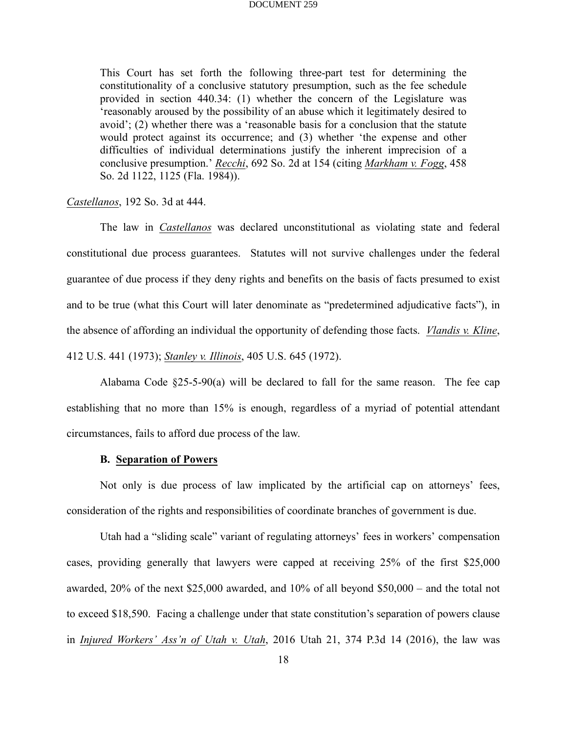This Court has set forth the following three-part test for determining the constitutionality of a conclusive statutory presumption, such as the fee schedule provided in section 440.34: (1) whether the concern of the Legislature was 'reasonably aroused by the possibility of an abuse which it legitimately desired to avoid'; (2) whether there was a 'reasonable basis for a conclusion that the statute would protect against its occurrence; and (3) whether 'the expense and other difficulties of individual determinations justify the inherent imprecision of a conclusive presumption.' *Recchi*, 692 So. 2d at 154 (citing *Markham v. Fogg*, 458 So. 2d 1122, 1125 (Fla. 1984)).

## *Castellanos*, 192 So. 3d at 444.

The law in *Castellanos* was declared unconstitutional as violating state and federal constitutional due process guarantees. Statutes will not survive challenges under the federal guarantee of due process if they deny rights and benefits on the basis of facts presumed to exist and to be true (what this Court will later denominate as "predetermined adjudicative facts"), in the absence of affording an individual the opportunity of defending those facts. *Vlandis v. Kline*, 412 U.S. 441 (1973); *Stanley v. Illinois*, 405 U.S. 645 (1972).

Alabama Code  $\S25-5-90(a)$  will be declared to fall for the same reason. The fee cap establishing that no more than 15% is enough, regardless of a myriad of potential attendant circumstances, fails to afford due process of the law.

## **B. Separation of Powers**

Not only is due process of law implicated by the artificial cap on attorneys' fees, consideration of the rights and responsibilities of coordinate branches of government is due.

Utah had a "sliding scale" variant of regulating attorneys' fees in workers' compensation cases, providing generally that lawyers were capped at receiving 25% of the first \$25,000 awarded, 20% of the next \$25,000 awarded, and 10% of all beyond \$50,000 – and the total not to exceed \$18,590. Facing a challenge under that state constitution's separation of powers clause in *Injured Workers' Ass'n of Utah v. Utah*, 2016 Utah 21, 374 P.3d 14 (2016), the law was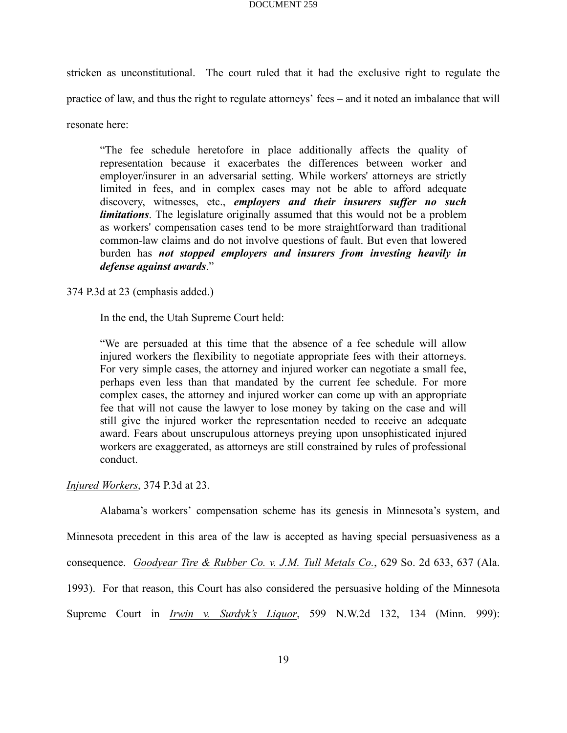stricken as unconstitutional. The court ruled that it had the exclusive right to regulate the practice of law, and thus the right to regulate attorneys' fees – and it noted an imbalance that will resonate here:

"The fee schedule heretofore in place additionally affects the quality of representation because it exacerbates the differences between worker and employer/insurer in an adversarial setting. While workers' attorneys are strictly limited in fees, and in complex cases may not be able to afford adequate discovery, witnesses, etc., *employers and their insurers suffer no such limitations*. The legislature originally assumed that this would not be a problem as workers' compensation cases tend to be more straightforward than traditional common-law claims and do not involve questions of fault. But even that lowered burden has *not stopped employers and insurers from investing heavily in defense against awards*."

374 P.3d at 23 (emphasis added.)

In the end, the Utah Supreme Court held:

"We are persuaded at this time that the absence of a fee schedule will allow injured workers the flexibility to negotiate appropriate fees with their attorneys. For very simple cases, the attorney and injured worker can negotiate a small fee, perhaps even less than that mandated by the current fee schedule. For more complex cases, the attorney and injured worker can come up with an appropriate fee that will not cause the lawyer to lose money by taking on the case and will still give the injured worker the representation needed to receive an adequate award. Fears about unscrupulous attorneys preying upon unsophisticated injured workers are exaggerated, as attorneys are still constrained by rules of professional conduct.

*Injured Workers*, 374 P.3d at 23.

Alabama's workers' compensation scheme has its genesis in Minnesota's system, and Minnesota precedent in this area of the law is accepted as having special persuasiveness as a consequence. *Goodyear Tire & Rubber Co. v. J.M. Tull Metals Co.*, 629 So. 2d 633, 637 (Ala. 1993). For that reason, this Court has also considered the persuasive holding of the Minnesota Supreme Court in *Irwin v. Surdyk's Liquor*, 599 N.W.2d 132, 134 (Minn. 999):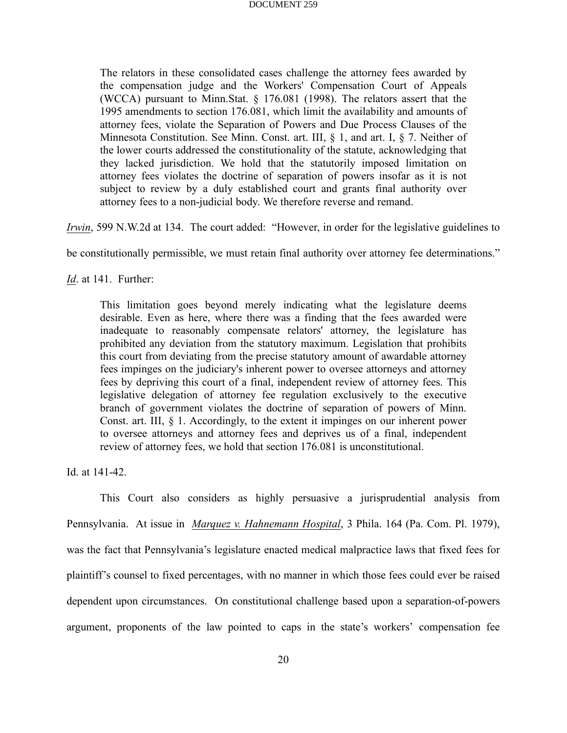The relators in these consolidated cases challenge the attorney fees awarded by the compensation judge and the Workers' Compensation Court of Appeals (WCCA) pursuant to Minn.Stat. § 176.081 (1998). The relators assert that the 1995 amendments to section 176.081, which limit the availability and amounts of attorney fees, violate the Separation of Powers and Due Process Clauses of the Minnesota Constitution. See Minn. Const. art. III, § 1, and art. I, § 7. Neither of the lower courts addressed the constitutionality of the statute, acknowledging that they lacked jurisdiction. We hold that the statutorily imposed limitation on attorney fees violates the doctrine of separation of powers insofar as it is not subject to review by a duly established court and grants final authority over attorney fees to a non-judicial body. We therefore reverse and remand.

*Irwin*, 599 N.W.2d at 134. The court added: "However, in order for the legislative guidelines to

be constitutionally permissible, we must retain final authority over attorney fee determinations."

*Id*. at 141. Further:

This limitation goes beyond merely indicating what the legislature deems desirable. Even as here, where there was a finding that the fees awarded were inadequate to reasonably compensate relators' attorney, the legislature has prohibited any deviation from the statutory maximum. Legislation that prohibits this court from deviating from the precise statutory amount of awardable attorney fees impinges on the judiciary's inherent power to oversee attorneys and attorney fees by depriving this court of a final, independent review of attorney fees. This legislative delegation of attorney fee regulation exclusively to the executive branch of government violates the doctrine of separation of powers of Minn. Const. art. III, § 1. Accordingly, to the extent it impinges on our inherent power to oversee attorneys and attorney fees and deprives us of a final, independent review of attorney fees, we hold that section 176.081 is unconstitutional.

Id. at 141-42.

This Court also considers as highly persuasive a jurisprudential analysis from Pennsylvania. At issue in *Marquez v. Hahnemann Hospital*, 3 Phila. 164 (Pa. Com. Pl. 1979), was the fact that Pennsylvania's legislature enacted medical malpractice laws that fixed fees for plaintiff's counsel to fixed percentages, with no manner in which those fees could ever be raised dependent upon circumstances. On constitutional challenge based upon a separation-of-powers argument, proponents of the law pointed to caps in the state's workers' compensation fee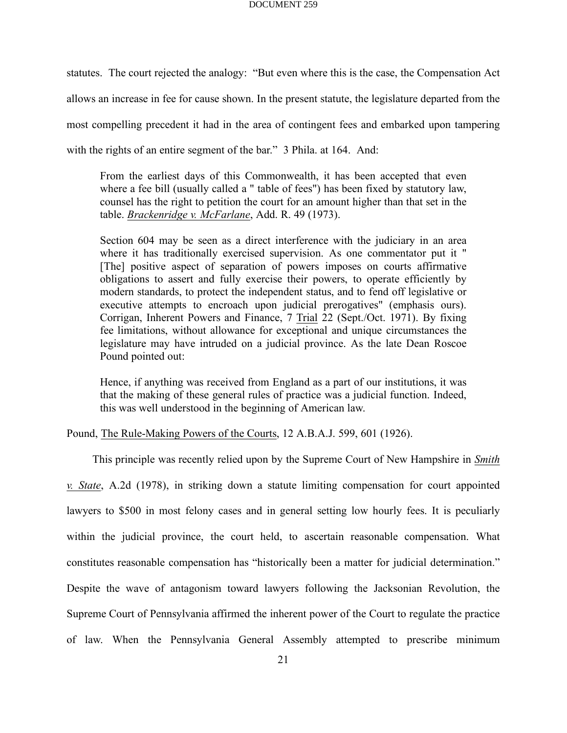statutes. The court rejected the analogy: "But even where this is the case, the Compensation Act allows an increase in fee for cause shown. In the present statute, the legislature departed from the most compelling precedent it had in the area of contingent fees and embarked upon tampering with the rights of an entire segment of the bar." 3 Phila. at 164. And:

From the earliest days of this Commonwealth, it has been accepted that even where a fee bill (usually called a " table of fees") has been fixed by statutory law, counsel has the right to petition the court for an amount higher than that set in the table. *Brackenridge v. McFarlane*, Add. R. 49 (1973).

Section 604 may be seen as a direct interference with the judiciary in an area where it has traditionally exercised supervision. As one commentator put it " [The] positive aspect of separation of powers imposes on courts affirmative obligations to assert and fully exercise their powers, to operate efficiently by modern standards, to protect the independent status, and to fend off legislative or executive attempts to encroach upon judicial prerogatives" (emphasis ours). Corrigan, Inherent Powers and Finance, 7 Trial 22 (Sept./Oct. 1971). By fixing fee limitations, without allowance for exceptional and unique circumstances the legislature may have intruded on a judicial province. As the late Dean Roscoe Pound pointed out:

Hence, if anything was received from England as a part of our institutions, it was that the making of these general rules of practice was a judicial function. Indeed, this was well understood in the beginning of American law.

Pound, The Rule-Making Powers of the Courts, 12 A.B.A.J. 599, 601 (1926).

This principle was recently relied upon by the Supreme Court of New Hampshire in *Smith*

*v. State*, A.2d (1978), in striking down a statute limiting compensation for court appointed lawyers to \$500 in most felony cases and in general setting low hourly fees. It is peculiarly within the judicial province, the court held, to ascertain reasonable compensation. What constitutes reasonable compensation has "historically been a matter for judicial determination." Despite the wave of antagonism toward lawyers following the Jacksonian Revolution, the Supreme Court of Pennsylvania affirmed the inherent power of the Court to regulate the practice of law. When the Pennsylvania General Assembly attempted to prescribe minimum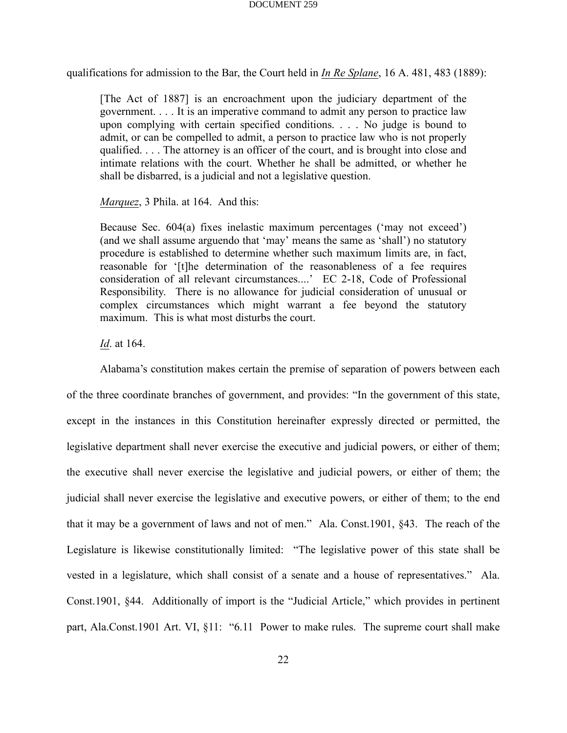qualifications for admission to the Bar, the Court held in *In Re Splane*, 16 A. 481, 483 (1889):

[The Act of 1887] is an encroachment upon the judiciary department of the government. . . . It is an imperative command to admit any person to practice law upon complying with certain specified conditions. . . . No judge is bound to admit, or can be compelled to admit, a person to practice law who is not properly qualified. . . . The attorney is an officer of the court, and is brought into close and intimate relations with the court. Whether he shall be admitted, or whether he shall be disbarred, is a judicial and not a legislative question.

*Marquez*, 3 Phila. at 164. And this:

Because Sec. 604(a) fixes inelastic maximum percentages ('may not exceed') (and we shall assume arguendo that 'may' means the same as 'shall') no statutory procedure is established to determine whether such maximum limits are, in fact, reasonable for '[t]he determination of the reasonableness of a fee requires consideration of all relevant circumstances....' EC 2-18, Code of Professional Responsibility. There is no allowance for judicial consideration of unusual or complex circumstances which might warrant a fee beyond the statutory maximum. This is what most disturbs the court.

*Id*. at 164.

Alabama's constitution makes certain the premise of separation of powers between each of the three coordinate branches of government, and provides: "In the government of this state, except in the instances in this Constitution hereinafter expressly directed or permitted, the legislative department shall never exercise the executive and judicial powers, or either of them; the executive shall never exercise the legislative and judicial powers, or either of them; the judicial shall never exercise the legislative and executive powers, or either of them; to the end that it may be a government of laws and not of men." Ala. Const.1901, §43. The reach of the Legislature is likewise constitutionally limited: "The legislative power of this state shall be vested in a legislature, which shall consist of a senate and a house of representatives." Ala. Const.1901, §44. Additionally of import is the "Judicial Article," which provides in pertinent part, Ala.Const.1901 Art. VI, §11: "6.11 Power to make rules. The supreme court shall make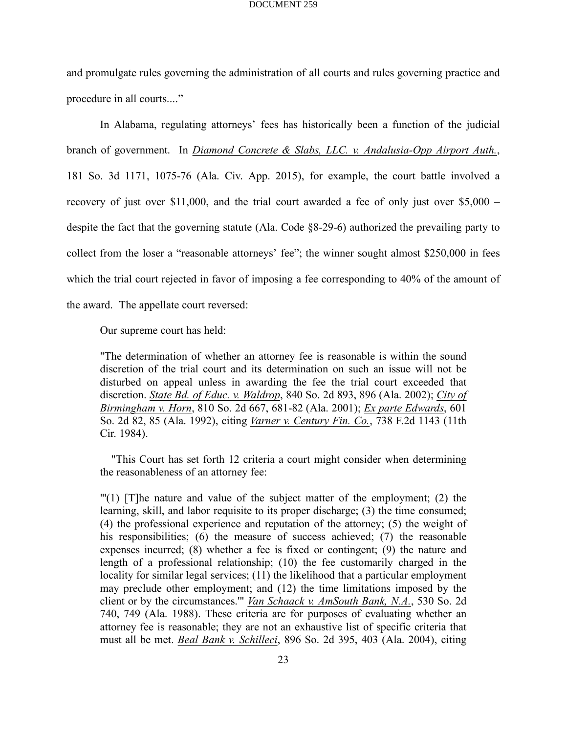and promulgate rules governing the administration of all courts and rules governing practice and procedure in all courts...."

In Alabama, regulating attorneys' fees has historically been a function of the judicial branch of government. In *Diamond Concrete & Slabs, LLC. v. Andalusia-Opp Airport Auth.*, 181 So. 3d 1171, 1075-76 (Ala. Civ. App. 2015), for example, the court battle involved a recovery of just over \$11,000, and the trial court awarded a fee of only just over \$5,000 – despite the fact that the governing statute (Ala. Code §8-29-6) authorized the prevailing party to collect from the loser a "reasonable attorneys' fee"; the winner sought almost \$250,000 in fees which the trial court rejected in favor of imposing a fee corresponding to 40% of the amount of the award. The appellate court reversed:

Our supreme court has held:

"The determination of whether an attorney fee is reasonable is within the sound discretion of the trial court and its determination on such an issue will not be disturbed on appeal unless in awarding the fee the trial court exceeded that discretion. *State Bd. of Educ. v. Waldrop*, 840 So. 2d 893, 896 (Ala. 2002); *City of Birmingham v. Horn*, 810 So. 2d 667, 681-82 (Ala. 2001); *Ex parte Edwards*, 601 So. 2d 82, 85 (Ala. 1992), citing *Varner v. Century Fin. Co.*, 738 F.2d 1143 (11th Cir. 1984).

"This Court has set forth 12 criteria a court might consider when determining the reasonableness of an attorney fee:

 $\Gamma(1)$  [T]he nature and value of the subject matter of the employment; (2) the learning, skill, and labor requisite to its proper discharge; (3) the time consumed; (4) the professional experience and reputation of the attorney; (5) the weight of his responsibilities; (6) the measure of success achieved; (7) the reasonable expenses incurred; (8) whether a fee is fixed or contingent; (9) the nature and length of a professional relationship; (10) the fee customarily charged in the locality for similar legal services; (11) the likelihood that a particular employment may preclude other employment; and (12) the time limitations imposed by the client or by the circumstances.'" *Van Schaack v. AmSouth Bank, N.A.*, 530 So. 2d 740, 749 (Ala. 1988). These criteria are for purposes of evaluating whether an attorney fee is reasonable; they are not an exhaustive list of specific criteria that must all be met. *Beal Bank v. Schilleci*, 896 So. 2d 395, 403 (Ala. 2004), citing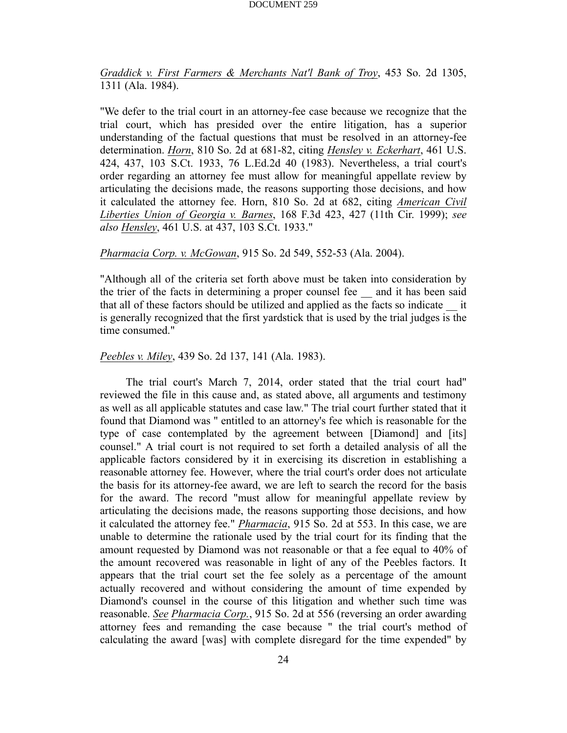*Graddick v. First Farmers & Merchants Nat'l Bank of Troy*, 453 So. 2d 1305, 1311 (Ala. 1984).

"We defer to the trial court in an attorney-fee case because we recognize that the trial court, which has presided over the entire litigation, has a superior understanding of the factual questions that must be resolved in an attorney-fee determination. *Horn*, 810 So. 2d at 681-82, citing *Hensley v. Eckerhart*, 461 U.S. 424, 437, 103 S.Ct. 1933, 76 L.Ed.2d 40 (1983). Nevertheless, a trial court's order regarding an attorney fee must allow for meaningful appellate review by articulating the decisions made, the reasons supporting those decisions, and how it calculated the attorney fee. Horn, 810 So. 2d at 682, citing *American Civil Liberties Union of Georgia v. Barnes*, 168 F.3d 423, 427 (11th Cir. 1999); *see also Hensley*, 461 U.S. at 437, 103 S.Ct. 1933."

## *Pharmacia Corp. v. McGowan*, 915 So. 2d 549, 552-53 (Ala. 2004).

"Although all of the criteria set forth above must be taken into consideration by the trier of the facts in determining a proper counsel fee \_\_ and it has been said that all of these factors should be utilized and applied as the facts so indicate \_\_ it is generally recognized that the first yardstick that is used by the trial judges is the time consumed."

## *Peebles v. Miley*, 439 So. 2d 137, 141 (Ala. 1983).

 The trial court's March 7, 2014, order stated that the trial court had" reviewed the file in this cause and, as stated above, all arguments and testimony as well as all applicable statutes and case law." The trial court further stated that it found that Diamond was " entitled to an attorney's fee which is reasonable for the type of case contemplated by the agreement between [Diamond] and [its] counsel." A trial court is not required to set forth a detailed analysis of all the applicable factors considered by it in exercising its discretion in establishing a reasonable attorney fee. However, where the trial court's order does not articulate the basis for its attorney-fee award, we are left to search the record for the basis for the award. The record "must allow for meaningful appellate review by articulating the decisions made, the reasons supporting those decisions, and how it calculated the attorney fee." *Pharmacia*, 915 So. 2d at 553. In this case, we are unable to determine the rationale used by the trial court for its finding that the amount requested by Diamond was not reasonable or that a fee equal to 40% of the amount recovered was reasonable in light of any of the Peebles factors. It appears that the trial court set the fee solely as a percentage of the amount actually recovered and without considering the amount of time expended by Diamond's counsel in the course of this litigation and whether such time was reasonable. *See Pharmacia Corp.*, 915 So. 2d at 556 (reversing an order awarding attorney fees and remanding the case because " the trial court's method of calculating the award [was] with complete disregard for the time expended" by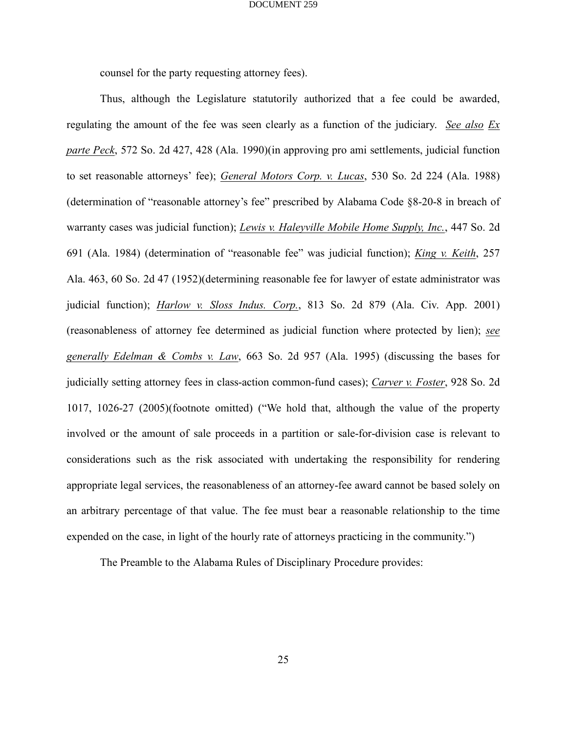counsel for the party requesting attorney fees).

Thus, although the Legislature statutorily authorized that a fee could be awarded, regulating the amount of the fee was seen clearly as a function of the judiciary. *See also Ex parte Peck*, 572 So. 2d 427, 428 (Ala. 1990)(in approving pro ami settlements, judicial function to set reasonable attorneys' fee); *General Motors Corp. v. Lucas*, 530 So. 2d 224 (Ala. 1988) (determination of "reasonable attorney's fee" prescribed by Alabama Code §8-20-8 in breach of warranty cases was judicial function); *Lewis v. Haleyville Mobile Home Supply, Inc.*, 447 So. 2d 691 (Ala. 1984) (determination of "reasonable fee" was judicial function); *King v. Keith*, 257 Ala. 463, 60 So. 2d 47 (1952)(determining reasonable fee for lawyer of estate administrator was judicial function); *Harlow v. Sloss Indus. Corp.*, 813 So. 2d 879 (Ala. Civ. App. 2001) (reasonableness of attorney fee determined as judicial function where protected by lien); *see generally Edelman & Combs v. Law*, 663 So. 2d 957 (Ala. 1995) (discussing the bases for judicially setting attorney fees in class-action common-fund cases); *Carver v. Foster*, 928 So. 2d 1017, 1026-27 (2005)(footnote omitted) ("We hold that, although the value of the property involved or the amount of sale proceeds in a partition or sale-for-division case is relevant to considerations such as the risk associated with undertaking the responsibility for rendering appropriate legal services, the reasonableness of an attorney-fee award cannot be based solely on an arbitrary percentage of that value. The fee must bear a reasonable relationship to the time expended on the case, in light of the hourly rate of attorneys practicing in the community.")

The Preamble to the Alabama Rules of Disciplinary Procedure provides: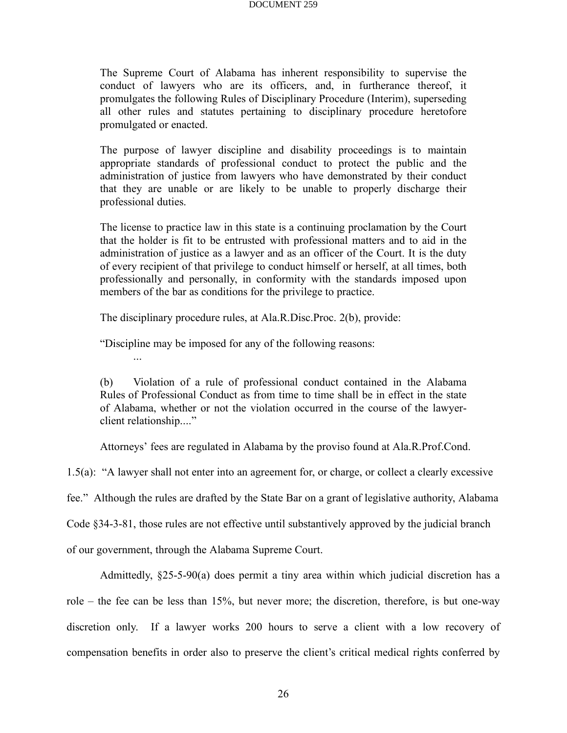The Supreme Court of Alabama has inherent responsibility to supervise the conduct of lawyers who are its officers, and, in furtherance thereof, it promulgates the following Rules of Disciplinary Procedure (Interim), superseding all other rules and statutes pertaining to disciplinary procedure heretofore promulgated or enacted.

The purpose of lawyer discipline and disability proceedings is to maintain appropriate standards of professional conduct to protect the public and the administration of justice from lawyers who have demonstrated by their conduct that they are unable or are likely to be unable to properly discharge their professional duties.

The license to practice law in this state is a continuing proclamation by the Court that the holder is fit to be entrusted with professional matters and to aid in the administration of justice as a lawyer and as an officer of the Court. It is the duty of every recipient of that privilege to conduct himself or herself, at all times, both professionally and personally, in conformity with the standards imposed upon members of the bar as conditions for the privilege to practice.

The disciplinary procedure rules, at Ala.R.Disc.Proc. 2(b), provide:

"Discipline may be imposed for any of the following reasons:

(b) Violation of a rule of professional conduct contained in the Alabama Rules of Professional Conduct as from time to time shall be in effect in the state of Alabama, whether or not the violation occurred in the course of the lawyerclient relationship...."

Attorneys' fees are regulated in Alabama by the proviso found at Ala.R.Prof.Cond.

1.5(a): "A lawyer shall not enter into an agreement for, or charge, or collect a clearly excessive

fee." Although the rules are drafted by the State Bar on a grant of legislative authority, Alabama

Code §34-3-81, those rules are not effective until substantively approved by the judicial branch

of our government, through the Alabama Supreme Court.

Admittedly, §25-5-90(a) does permit a tiny area within which judicial discretion has a role – the fee can be less than 15%, but never more; the discretion, therefore, is but one-way discretion only. If a lawyer works 200 hours to serve a client with a low recovery of compensation benefits in order also to preserve the client's critical medical rights conferred by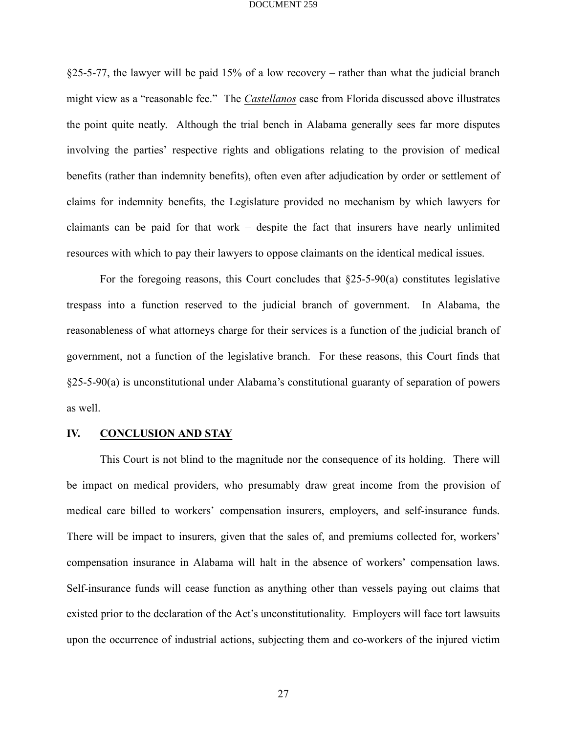§25-5-77, the lawyer will be paid 15% of a low recovery – rather than what the judicial branch might view as a "reasonable fee." The *Castellanos* case from Florida discussed above illustrates the point quite neatly. Although the trial bench in Alabama generally sees far more disputes involving the parties' respective rights and obligations relating to the provision of medical benefits (rather than indemnity benefits), often even after adjudication by order or settlement of claims for indemnity benefits, the Legislature provided no mechanism by which lawyers for claimants can be paid for that work – despite the fact that insurers have nearly unlimited resources with which to pay their lawyers to oppose claimants on the identical medical issues.

For the foregoing reasons, this Court concludes that  $\S25-5-90(a)$  constitutes legislative trespass into a function reserved to the judicial branch of government. In Alabama, the reasonableness of what attorneys charge for their services is a function of the judicial branch of government, not a function of the legislative branch. For these reasons, this Court finds that §25-5-90(a) is unconstitutional under Alabama's constitutional guaranty of separation of powers as well.

# **IV. CONCLUSION AND STAY**

This Court is not blind to the magnitude nor the consequence of its holding. There will be impact on medical providers, who presumably draw great income from the provision of medical care billed to workers' compensation insurers, employers, and self-insurance funds. There will be impact to insurers, given that the sales of, and premiums collected for, workers' compensation insurance in Alabama will halt in the absence of workers' compensation laws. Self-insurance funds will cease function as anything other than vessels paying out claims that existed prior to the declaration of the Act's unconstitutionality. Employers will face tort lawsuits upon the occurrence of industrial actions, subjecting them and co-workers of the injured victim